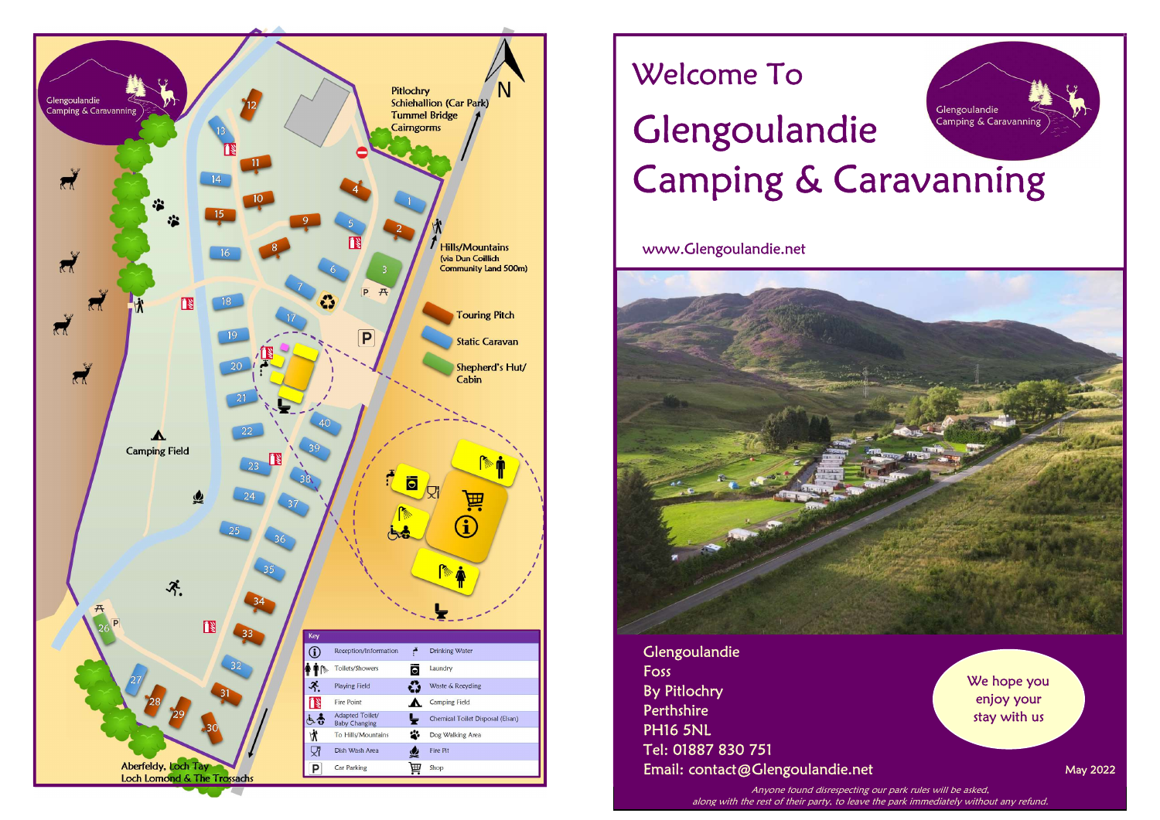

# Welcome To

# Glengoulandie Glengoulandie Camping & Caravanning Camping & Caravanning

www.Glengoulandie.net



Glengoulandie Foss By Pitlochry **Perthshire** PH16 5NL Tel: 01887 830 751 Email: contact@Glengoulandie.net

We hope you enjoy your stay with us

May 2022

Anyone found disrespecting our park rules will be asked, along with the rest of their party, to leave the park immediately without any refund.